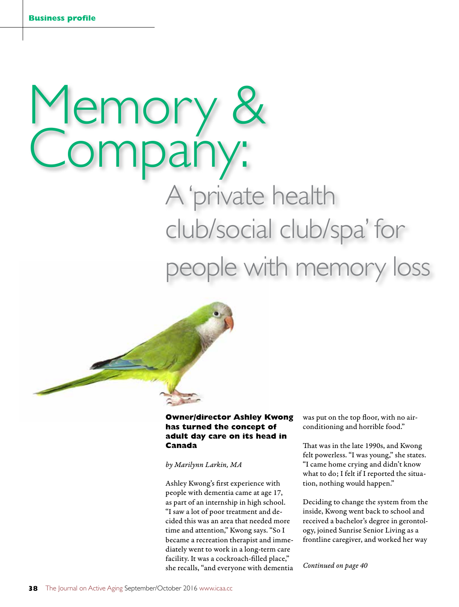# Memory & Company:<br>A 'private health

club/social club/spa' for people with memory loss



# **Owner/director Ashley Kwong has turned the concept of adult day care on its head in Canada**

#### *by Marilynn Larkin, MA*

Ashley Kwong's first experience with people with dementia came at age 17, as part of an internship in high school. "I saw a lot of poor treatment and decided this was an area that needed more time and attention," Kwong says. "So I became a recreation therapist and immediately went to work in a long-term care facility. It was a cockroach-filled place," she recalls, "and everyone with dementia was put on the top floor, with no airconditioning and horrible food."

That was in the late 1990s, and Kwong felt powerless. "I was young," she states. "I came home crying and didn't know what to do; I felt if I reported the situation, nothing would happen."

Deciding to change the system from the inside, Kwong went back to school and received a bachelor's degree in gerontology, joined Sunrise Senior Living as a frontline caregiver, and worked her way

*Continued on page 40*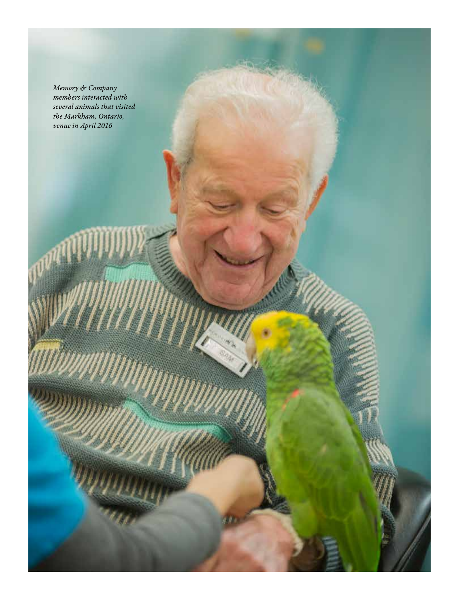*Memory & Company members interacted with several animals that visited the Markham, Ontario, venue in April 2016*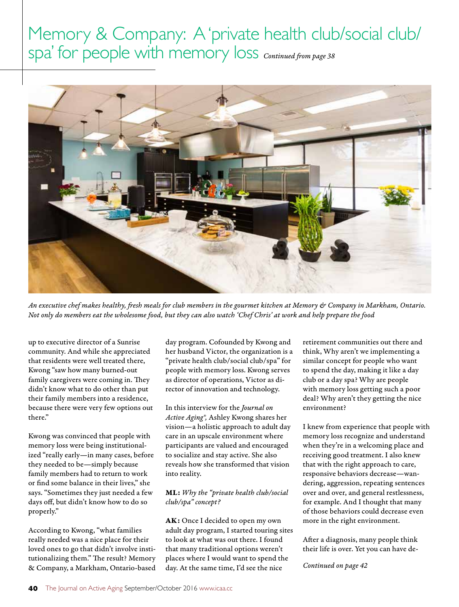

*An executive chef makes healthy, fresh meals for club members in the gourmet kitchen at Memory & Company in Markham, Ontario. Not only do members eat the wholesome food, but they can also watch 'Chef Chris' at work and help prepare the food*

up to executive director of a Sunrise community. And while she appreciated that residents were well treated there, Kwong "saw how many burned-out family caregivers were coming in. They didn't know what to do other than put their family members into a residence, because there were very few options out there."

Kwong was convinced that people with memory loss were being institutionalized "really early—in many cases, before they needed to be—simply because family members had to return to work or find some balance in their lives," she says. "Sometimes they just needed a few days off, but didn't know how to do so properly."

According to Kwong, "what families really needed was a nice place for their loved ones to go that didn't involve institutionalizing them." The result? Memory & Company, a Markham, Ontario-based day program. Cofounded by Kwong and her husband Victor, the organization is a "private health club/social club/spa" for people with memory loss. Kwong serves as director of operations, Victor as director of innovation and technology.

In this interview for the *Journal on Active Aging®,* Ashley Kwong shares her vision—a holistic approach to adult day care in an upscale environment where participants are valued and encouraged to socialize and stay active. She also reveals how she transformed that vision into reality.

# ML: *Why the "private health club/social club/spa" concept?*

AK: Once I decided to open my own adult day program, I started touring sites to look at what was out there. I found that many traditional options weren't places where I would want to spend the day. At the same time, I'd see the nice

retirement communities out there and think, Why aren't we implementing a similar concept for people who want to spend the day, making it like a day club or a day spa? Why are people with memory loss getting such a poor deal? Why aren't they getting the nice environment?

I knew from experience that people with memory loss recognize and understand when they're in a welcoming place and receiving good treatment. I also knew that with the right approach to care, responsive behaviors decrease—wandering, aggression, repeating sentences over and over, and general restlessness, for example. And I thought that many of those behaviors could decrease even more in the right environment.

After a diagnosis, many people think their life is over. Yet you can have de-

*Continued on page 42*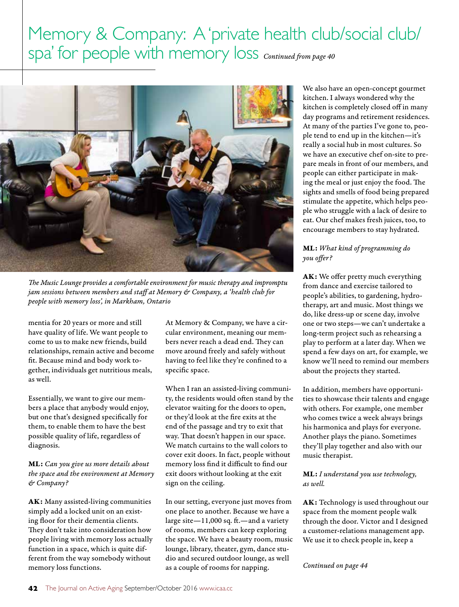

*The Music Lounge provides a comfortable environment for music therapy and impromptu jam sessions between members and staff at Memory & Company, a 'health club for people with memory loss', in Markham, Ontario*

mentia for 20 years or more and still have quality of life. We want people to come to us to make new friends, build relationships, remain active and become fit. Because mind and body work together, individuals get nutritious meals, as well.

Essentially, we want to give our members a place that anybody would enjoy, but one that's designed specifically for them, to enable them to have the best possible quality of life, regardless of diagnosis.

ML: *Can you give us more details about the space and the environment at Memory & Company?*

AK: Many assisted-living communities simply add a locked unit on an existing floor for their dementia clients. They don't take into consideration how people living with memory loss actually function in a space, which is quite different from the way somebody without memory loss functions.

At Memory & Company, we have a circular environment, meaning our members never reach a dead end. They can move around freely and safely without having to feel like they're confined to a specific space.

When I ran an assisted-living community, the residents would often stand by the elevator waiting for the doors to open, or they'd look at the fire exits at the end of the passage and try to exit that way. That doesn't happen in our space. We match curtains to the wall colors to cover exit doors. In fact, people without memory loss find it difficult to find our exit doors without looking at the exit sign on the ceiling.

In our setting, everyone just moves from one place to another. Because we have a large site—11,000 sq. ft.—and a variety of rooms, members can keep exploring the space. We have a beauty room, music lounge, library, theater, gym, dance studio and secured outdoor lounge, as well as a couple of rooms for napping.

We also have an open-concept gourmet kitchen. I always wondered why the kitchen is completely closed off in many day programs and retirement residences. At many of the parties I've gone to, people tend to end up in the kitchen—it's really a social hub in most cultures. So we have an executive chef on-site to prepare meals in front of our members, and people can either participate in making the meal or just enjoy the food. The sights and smells of food being prepared stimulate the appetite, which helps people who struggle with a lack of desire to eat. Our chef makes fresh juices, too, to encourage members to stay hydrated.

# ML: *What kind of programming do you offer?*

AK: We offer pretty much everything from dance and exercise tailored to people's abilities, to gardening, hydrotherapy, art and music. Most things we do, like dress-up or scene day, involve one or two steps—we can't undertake a long-term project such as rehearsing a play to perform at a later day. When we spend a few days on art, for example, we know we'll need to remind our members about the projects they started.

In addition, members have opportunities to showcase their talents and engage with others. For example, one member who comes twice a week always brings his harmonica and plays for everyone. Another plays the piano. Sometimes they'll play together and also with our music therapist.

## ML: *I understand you use technology, as well.*

AK: Technology is used throughout our space from the moment people walk through the door. Victor and I designed a customer-relations management app. We use it to check people in, keep a

*Continued on page 44*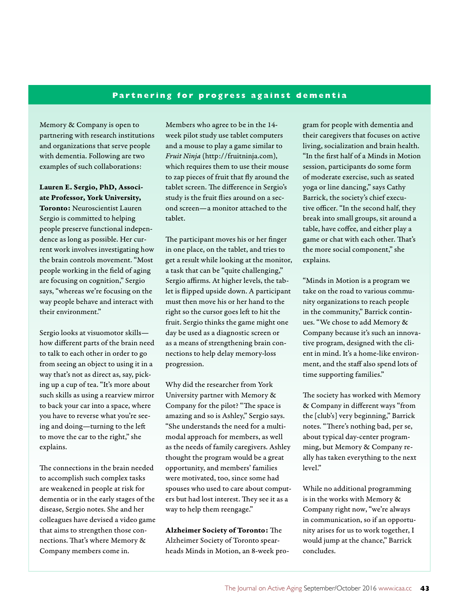# **Partnering for progress against dementia**

Memory & Company is open to partnering with research institutions and organizations that serve people with dementia. Following are two examples of such collaborations:

Lauren E. Sergio, PhD, Associate Professor, York University, Toronto: Neuroscientist Lauren Sergio is committed to helping people preserve functional independence as long as possible. Her current work involves investigating how the brain controls movement. "Most people working in the field of aging are focusing on cognition," Sergio says, "whereas we're focusing on the way people behave and interact with their environment."

Sergio looks at visuomotor skills how different parts of the brain need to talk to each other in order to go from seeing an object to using it in a way that's not as direct as, say, picking up a cup of tea. "It's more about such skills as using a rearview mirror to back your car into a space, where you have to reverse what you're seeing and doing—turning to the left to move the car to the right," she explains.

The connections in the brain needed to accomplish such complex tasks are weakened in people at risk for dementia or in the early stages of the disease, Sergio notes. She and her colleagues have devised a video game that aims to strengthen those connections. That's where Memory & Company members come in.

Members who agree to be in the 14 week pilot study use tablet computers and a mouse to play a game similar to *Fruit Ninja* (http://fruitninja.com), which requires them to use their mouse to zap pieces of fruit that fly around the tablet screen. The difference in Sergio's study is the fruit flies around on a second screen—a monitor attached to the tablet.

The participant moves his or her finger in one place, on the tablet, and tries to get a result while looking at the monitor, a task that can be "quite challenging," Sergio affirms. At higher levels, the tablet is flipped upside down. A participant must then move his or her hand to the right so the cursor goes left to hit the fruit. Sergio thinks the game might one day be used as a diagnostic screen or as a means of strengthening brain connections to help delay memory-loss progression.

Why did the researcher from York University partner with Memory & Company for the pilot? "The space is amazing and so is Ashley," Sergio says. "She understands the need for a multimodal approach for members, as well as the needs of family caregivers. Ashley thought the program would be a great opportunity, and members' families were motivated, too, since some had spouses who used to care about computers but had lost interest. They see it as a way to help them reengage."

Alzheimer Society of Toronto: The Alzheimer Society of Toronto spearheads Minds in Motion, an 8-week program for people with dementia and their caregivers that focuses on active living, socialization and brain health. "In the first half of a Minds in Motion session, participants do some form of moderate exercise, such as seated yoga or line dancing," says Cathy Barrick, the society's chief executive officer. "In the second half, they break into small groups, sit around a table, have coffee, and either play a game or chat with each other. That's the more social component," she explains.

"Minds in Motion is a program we take on the road to various community organizations to reach people in the community," Barrick continues. "We chose to add Memory & Company because it's such an innovative program, designed with the client in mind. It's a home-like environment, and the staff also spend lots of time supporting families."

The society has worked with Memory & Company in different ways "from the [club's] very beginning," Barrick notes. "There's nothing bad, per se, about typical day-center programming, but Memory & Company really has taken everything to the next level."

While no additional programming is in the works with Memory & Company right now, "we're always in communication, so if an opportunity arises for us to work together, I would jump at the chance," Barrick concludes.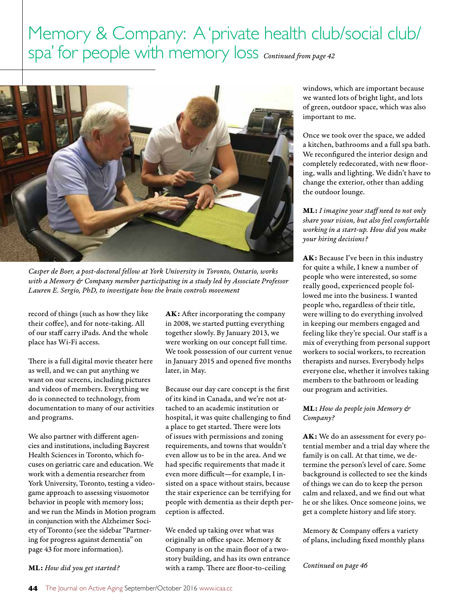

*Casper de Boer, a post-doctoral fellow at York University in Toronto, Ontario, works with a Memory & Company member participating in a study led by Associate Professor Lauren E. Sergio, PhD, to investigate how the brain controls movement*

record of things (such as how they like their coffee), and for note-taking. All of our staff carry iPads. And the whole place has Wi-Fi access.

There is a full digital movie theater here as well, and we can put anything we want on our screens, including pictures and videos of members. Everything we do is connected to technology, from documentation to many of our activities and programs.

We also partner with different agencies and institutions, including Baycrest Health Sciences in Toronto, which focuses on geriatric care and education. We work with a dementia researcher from York University, Toronto, testing a videogame approach to assessing visuomotor behavior in people with memory loss; and we run the Minds in Motion program in conjunction with the Alzheimer Society of Toronto (see the sidebar "Partnering for progress against dementia" on page 43 for more information).

AK: After incorporating the company in 2008, we started putting everything together slowly. By January 2013, we were working on our concept full time. We took possession of our current venue in January 2015 and opened five months later, in May.

Because our day care concept is the first of its kind in Canada, and we're not attached to an academic institution or hospital, it was quite challenging to find a place to get started. There were lots of issues with permissions and zoning requirements, and towns that wouldn't even allow us to be in the area. And we had specific requirements that made it even more difficult—for example, I insisted on a space without stairs, because the stair experience can be terrifying for people with dementia as their depth perception is affected.

We ended up taking over what was originally an office space. Memory & Company is on the main floor of a twostory building, and has its own entrance with a ramp. There are floor-to-ceiling

windows, which are important because we wanted lots of bright light, and lots of green, outdoor space, which was also important to me.

Once we took over the space, we added a kitchen, bathrooms and a full spa bath. We reconfigured the interior design and completely redecorated, with new flooring, walls and lighting. We didn't have to change the exterior, other than adding the outdoor lounge.

ML: *I imagine your staff need to not only share your vision, but also feel comfortable working in a start-up. How did you make your hiring decisions?*

AK: Because I've been in this industry for quite a while, I knew a number of people who were interested, so some really good, experienced people followed me into the business. I wanted people who, regardless of their title, were willing to do everything involved in keeping our members engaged and feeling like they're special. Our staff is a mix of everything from personal support workers to social workers, to recreation therapists and nurses. Everybody helps everyone else, whether it involves taking members to the bathroom or leading our program and activities.

ML: *How do people join Memory & Company?*

AK: We do an assessment for every potential member and a trial day where the family is on call. At that time, we determine the person's level of care. Some background is collected to see the kinds of things we can do to keep the person calm and relaxed, and we find out what he or she likes. Once someone joins, we get a complete history and life story.

Memory & Company offers a variety of plans, including fixed monthly plans

*Continued on page 46*

#### ML: *How did you get started?*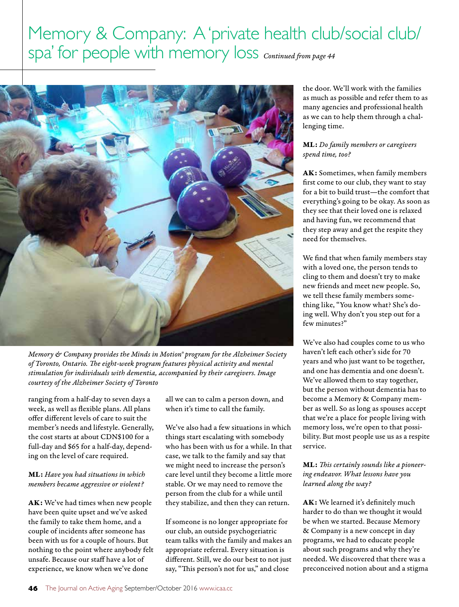

*Memory & Company provides the Minds in Motion® program for the Alzheimer Society of Toronto, Ontario. The eight-week program features physical activity and mental stimulation for individuals with dementia, accompanied by their caregivers. Image courtesy of the Alzheimer Society of Toronto*

ranging from a half-day to seven days a week, as well as flexible plans. All plans offer different levels of care to suit the member's needs and lifestyle. Generally, the cost starts at about CDN\$100 for a full-day and \$65 for a half-day, depending on the level of care required.

## ML: *Have you had situations in which members became aggressive or violent?*

AK: We've had times when new people have been quite upset and we've asked the family to take them home, and a couple of incidents after someone has been with us for a couple of hours. But nothing to the point where anybody felt unsafe. Because our staff have a lot of experience, we know when we've done

all we can to calm a person down, and when it's time to call the family.

We've also had a few situations in which things start escalating with somebody who has been with us for a while. In that case, we talk to the family and say that we might need to increase the person's care level until they become a little more stable. Or we may need to remove the person from the club for a while until they stabilize, and then they can return.

If someone is no longer appropriate for our club, an outside psychogeriatric team talks with the family and makes an appropriate referral. Every situation is different. Still, we do our best to not just say, "This person's not for us," and close

the door. We'll work with the families as much as possible and refer them to as many agencies and professional health as we can to help them through a challenging time.

# ML: *Do family members or caregivers spend time, too?*

AK: Sometimes, when family members first come to our club, they want to stay for a bit to build trust—the comfort that everything's going to be okay. As soon as they see that their loved one is relaxed and having fun, we recommend that they step away and get the respite they need for themselves.

We find that when family members stay with a loved one, the person tends to cling to them and doesn't try to make new friends and meet new people. So, we tell these family members something like, "You know what? She's doing well. Why don't you step out for a few minutes?"

We've also had couples come to us who haven't left each other's side for 70 years and who just want to be together, and one has dementia and one doesn't. We've allowed them to stay together, but the person without dementia has to become a Memory & Company member as well. So as long as spouses accept that we're a place for people living with memory loss, we're open to that possibility. But most people use us as a respite service.

# ML: *This certainly sounds like a pioneering endeavor. What lessons have you learned along the way?*

AK: We learned it's definitely much harder to do than we thought it would be when we started. Because Memory & Company is a new concept in day programs, we had to educate people about such programs and why they're needed. We discovered that there was a preconceived notion about and a stigma